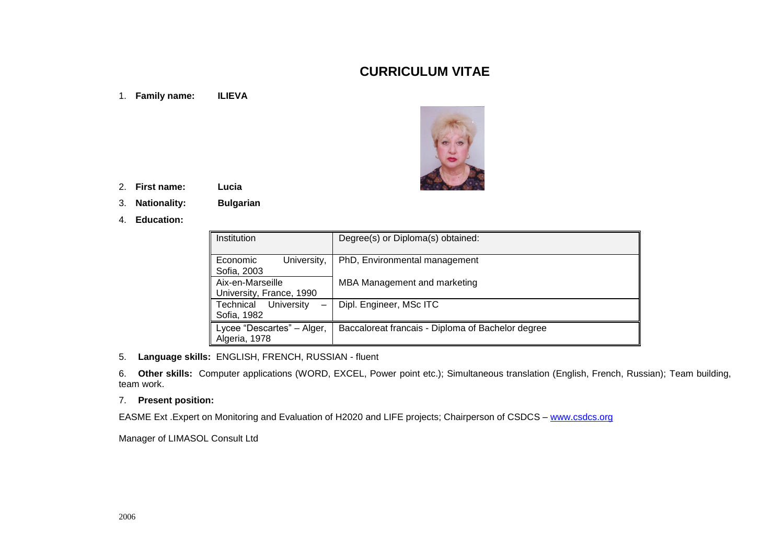# **CURRICULUM VITAE**

1. **Family name: ILIEVA**



- 2. **First name: Lucia**
- 3. **Nationality: Bulgarian**
- 4. **Education:**

| Institution                                  | Degree(s) or Diploma(s) obtained:                 |
|----------------------------------------------|---------------------------------------------------|
| University,<br>Economic<br>Sofia, 2003       | PhD, Environmental management                     |
| Aix-en-Marseille<br>University, France, 1990 | MBA Management and marketing                      |
| Technical<br>University<br>Sofia, 1982       | Dipl. Engineer, MSc ITC                           |
| Lycee "Descartes" - Alger,<br>Algeria, 1978  | Baccaloreat francais - Diploma of Bachelor degree |

5. **Language skills:** ENGLISH, FRENCH, RUSSIAN - fluent

6. **Other skills:** Computer applications (WORD, EXCEL, Power point etc.); Simultaneous translation (English, French, Russian); Team building, team work.

#### 7. **Present position:**

EASME Ext . Expert on Monitoring and Evaluation of H2020 and LIFE projects; Chairperson of CSDCS – [www.csdcs.org](http://www.csdcs.org/)

Manager of LIMASOL Consult Ltd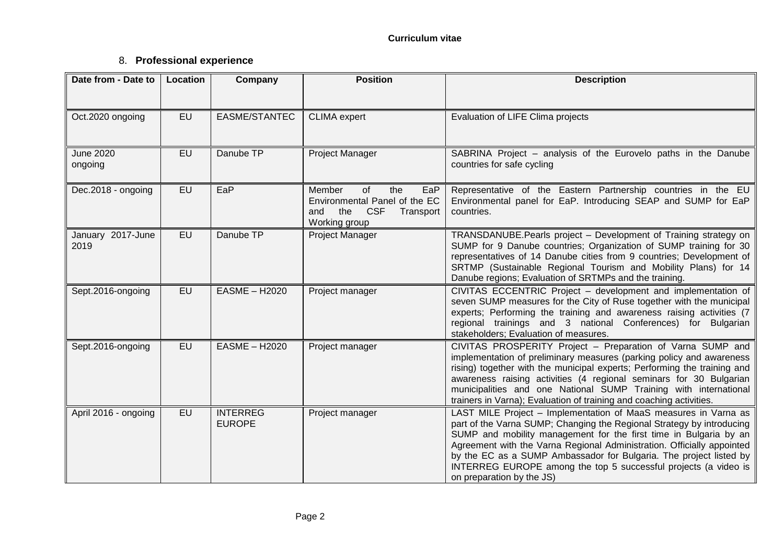## 8. **Professional experience**

| Date from - Date to         | Location  | Company                          | <b>Position</b>                                                                                                       | <b>Description</b>                                                                                                                                                                                                                                                                                                                                                                                                                                            |
|-----------------------------|-----------|----------------------------------|-----------------------------------------------------------------------------------------------------------------------|---------------------------------------------------------------------------------------------------------------------------------------------------------------------------------------------------------------------------------------------------------------------------------------------------------------------------------------------------------------------------------------------------------------------------------------------------------------|
|                             |           |                                  |                                                                                                                       |                                                                                                                                                                                                                                                                                                                                                                                                                                                               |
| Oct.2020 ongoing            | <b>EU</b> | EASME/STANTEC                    | <b>CLIMA</b> expert                                                                                                   | Evaluation of LIFE Clima projects                                                                                                                                                                                                                                                                                                                                                                                                                             |
| <b>June 2020</b><br>ongoing | <b>EU</b> | Danube TP                        | Project Manager                                                                                                       | SABRINA Project - analysis of the Eurovelo paths in the Danube<br>countries for safe cycling                                                                                                                                                                                                                                                                                                                                                                  |
| Dec.2018 - ongoing          | <b>EU</b> | EaP                              | Member<br>of<br>EaP<br>the<br>Environmental Panel of the EC<br><b>CSF</b><br>the<br>Transport<br>and<br>Working group | Representative of the Eastern Partnership countries in the EU<br>Environmental panel for EaP. Introducing SEAP and SUMP for EaP<br>countries.                                                                                                                                                                                                                                                                                                                 |
| January 2017-June<br>2019   | <b>EU</b> | Danube TP                        | Project Manager                                                                                                       | TRANSDANUBE. Pearls project - Development of Training strategy on<br>SUMP for 9 Danube countries; Organization of SUMP training for 30<br>representatives of 14 Danube cities from 9 countries; Development of<br>SRTMP (Sustainable Regional Tourism and Mobility Plans) for 14<br>Danube regions; Evaluation of SRTMPs and the training.                                                                                                                    |
| Sept.2016-ongoing           | EU        | <b>EASME - H2020</b>             | Project manager                                                                                                       | CIVITAS ECCENTRIC Project - development and implementation of<br>seven SUMP measures for the City of Ruse together with the municipal<br>experts; Performing the training and awareness raising activities (7<br>regional trainings and 3 national Conferences) for Bulgarian<br>stakeholders; Evaluation of measures.                                                                                                                                        |
| Sept.2016-ongoing           | EU        | <b>EASME - H2020</b>             | Project manager                                                                                                       | CIVITAS PROSPERITY Project - Preparation of Varna SUMP and<br>implementation of preliminary measures (parking policy and awareness<br>rising) together with the municipal experts; Performing the training and<br>awareness raising activities (4 regional seminars for 30 Bulgarian<br>municipalities and one National SUMP Training with international<br>trainers in Varna); Evaluation of training and coaching activities.                               |
| April 2016 - ongoing        | <b>EU</b> | <b>INTERREG</b><br><b>EUROPE</b> | Project manager                                                                                                       | LAST MILE Project - Implementation of MaaS measures in Varna as<br>part of the Varna SUMP; Changing the Regional Strategy by introducing<br>SUMP and mobility management for the first time in Bulgaria by an<br>Agreement with the Varna Regional Administration. Officially appointed<br>by the EC as a SUMP Ambassador for Bulgaria. The project listed by<br>INTERREG EUROPE among the top 5 successful projects (a video is<br>on preparation by the JS) |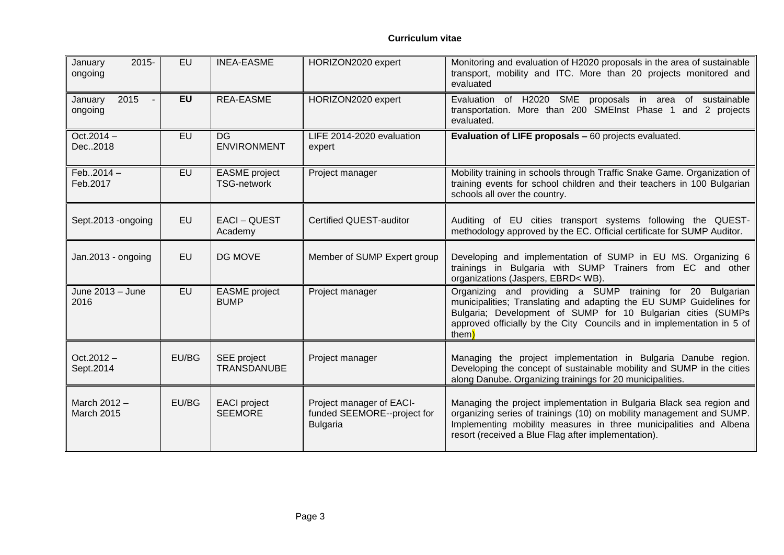| January<br>2015-<br>ongoing                  | EU        | <b>INEA-EASME</b>                          | HORIZON2020 expert                                                         | Monitoring and evaluation of H2020 proposals in the area of sustainable<br>transport, mobility and ITC. More than 20 projects monitored and<br>evaluated                                                                                                                            |
|----------------------------------------------|-----------|--------------------------------------------|----------------------------------------------------------------------------|-------------------------------------------------------------------------------------------------------------------------------------------------------------------------------------------------------------------------------------------------------------------------------------|
| 2015<br>January<br>$\blacksquare$<br>ongoing | <b>EU</b> | <b>REA-EASME</b>                           | HORIZON2020 expert                                                         | Evaluation of H2020 SME proposals in area<br>of sustainable<br>transportation. More than 200 SMEInst Phase 1<br>and 2 projects<br>evaluated.                                                                                                                                        |
| $Oct.2014 -$<br>Dec2018                      | EU        | <b>DG</b><br><b>ENVIRONMENT</b>            | LIFE 2014-2020 evaluation<br>expert                                        | Evaluation of LIFE proposals - 60 projects evaluated.                                                                                                                                                                                                                               |
| $Feb2014 -$<br>Feb.2017                      | EU        | <b>EASME</b> project<br><b>TSG-network</b> | Project manager                                                            | Mobility training in schools through Traffic Snake Game. Organization of<br>training events for school children and their teachers in 100 Bulgarian<br>schools all over the country.                                                                                                |
| Sept.2013 -ongoing                           | EU        | EACI-QUEST<br>Academy                      | <b>Certified QUEST-auditor</b>                                             | Auditing of EU cities transport systems following the QUEST-<br>methodology approved by the EC. Official certificate for SUMP Auditor.                                                                                                                                              |
| Jan.2013 - ongoing                           | EU        | DG MOVE                                    | Member of SUMP Expert group                                                | Developing and implementation of SUMP in EU MS. Organizing 6<br>trainings in Bulgaria with SUMP Trainers from EC and other<br>organizations (Jaspers, EBRD< WB).                                                                                                                    |
| June 2013 - June<br>2016                     | EU        | <b>EASME</b> project<br><b>BUMP</b>        | Project manager                                                            | Organizing and providing a SUMP training for 20 Bulgarian<br>municipalities; Translating and adapting the EU SUMP Guidelines for<br>Bulgaria; Development of SUMP for 10 Bulgarian cities (SUMPs<br>approved officially by the City Councils and in implementation in 5 of<br>them) |
| $Oct.2012 -$<br>Sept.2014                    | EU/BG     | SEE project<br><b>TRANSDANUBE</b>          | Project manager                                                            | Managing the project implementation in Bulgaria Danube region.<br>Developing the concept of sustainable mobility and SUMP in the cities<br>along Danube. Organizing trainings for 20 municipalities.                                                                                |
| March 2012 -<br>March 2015                   | EU/BG     | <b>EACI</b> project<br><b>SEEMORE</b>      | Project manager of EACI-<br>funded SEEMORE--project for<br><b>Bulgaria</b> | Managing the project implementation in Bulgaria Black sea region and<br>organizing series of trainings (10) on mobility management and SUMP.<br>Implementing mobility measures in three municipalities and Albena<br>resort (received a Blue Flag after implementation).            |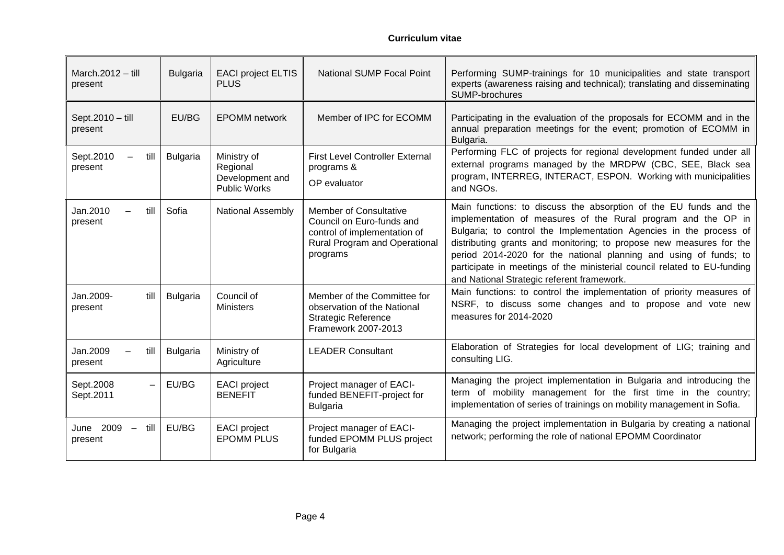| March. $2012 -$ till<br>present                    | <b>Bulgaria</b> | <b>EACI project ELTIS</b><br><b>PLUS</b>                          | <b>National SUMP Focal Point</b>                                                                                                        | Performing SUMP-trainings for 10 municipalities and state transport<br>experts (awareness raising and technical); translating and disseminating<br><b>SUMP-brochures</b>                                                                                                                                                                                                                                                                                                       |
|----------------------------------------------------|-----------------|-------------------------------------------------------------------|-----------------------------------------------------------------------------------------------------------------------------------------|--------------------------------------------------------------------------------------------------------------------------------------------------------------------------------------------------------------------------------------------------------------------------------------------------------------------------------------------------------------------------------------------------------------------------------------------------------------------------------|
| Sept.2010 - till<br>present                        | EU/BG           | <b>EPOMM</b> network                                              | Member of IPC for ECOMM                                                                                                                 | Participating in the evaluation of the proposals for ECOMM and in the<br>annual preparation meetings for the event; promotion of ECOMM in<br>Bulgaria.                                                                                                                                                                                                                                                                                                                         |
| Sept.2010<br>till<br>present                       | <b>Bulgaria</b> | Ministry of<br>Regional<br>Development and<br><b>Public Works</b> | <b>First Level Controller External</b><br>programs &<br>OP evaluator                                                                    | Performing FLC of projects for regional development funded under all<br>external programs managed by the MRDPW (CBC, SEE, Black sea<br>program, INTERREG, INTERACT, ESPON. Working with municipalities<br>and NGOs.                                                                                                                                                                                                                                                            |
| Jan.2010<br>till<br>present                        | Sofia           | <b>National Assembly</b>                                          | <b>Member of Consultative</b><br>Council on Euro-funds and<br>control of implementation of<br>Rural Program and Operational<br>programs | Main functions: to discuss the absorption of the EU funds and the<br>implementation of measures of the Rural program and the OP in<br>Bulgaria; to control the Implementation Agencies in the process of<br>distributing grants and monitoring; to propose new measures for the<br>period 2014-2020 for the national planning and using of funds; to<br>participate in meetings of the ministerial council related to EU-funding<br>and National Strategic referent framework. |
| till<br>Jan.2009-<br>present                       | <b>Bulgaria</b> | Council of<br><b>Ministers</b>                                    | Member of the Committee for<br>observation of the National<br><b>Strategic Reference</b><br>Framework 2007-2013                         | Main functions: to control the implementation of priority measures of<br>NSRF, to discuss some changes and to propose and vote new<br>measures for 2014-2020                                                                                                                                                                                                                                                                                                                   |
| Jan.2009<br>till<br>present                        | <b>Bulgaria</b> | Ministry of<br>Agriculture                                        | <b>LEADER Consultant</b>                                                                                                                | Elaboration of Strategies for local development of LIG; training and<br>consulting LIG.                                                                                                                                                                                                                                                                                                                                                                                        |
| Sept.2008<br>$\overline{\phantom{0}}$<br>Sept.2011 | EU/BG           | <b>EACI</b> project<br><b>BENEFIT</b>                             | Project manager of EACI-<br>funded BENEFIT-project for<br><b>Bulgaria</b>                                                               | Managing the project implementation in Bulgaria and introducing the<br>term of mobility management for the first time in the country;<br>implementation of series of trainings on mobility management in Sofia.                                                                                                                                                                                                                                                                |
| June 2009<br>till<br>$\sim$<br>present             | EU/BG           | <b>EACI</b> project<br><b>EPOMM PLUS</b>                          | Project manager of EACI-<br>funded EPOMM PLUS project<br>for Bulgaria                                                                   | Managing the project implementation in Bulgaria by creating a national<br>network; performing the role of national EPOMM Coordinator                                                                                                                                                                                                                                                                                                                                           |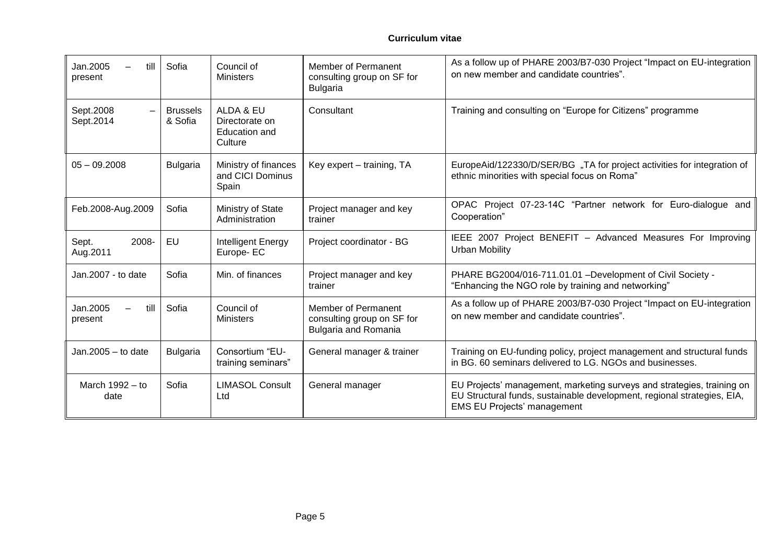| Jan.2005<br>till<br>present | Sofia                      | Council of<br><b>Ministers</b>                          | Member of Permanent<br>consulting group on SF for<br><b>Bulgaria</b>             | As a follow up of PHARE 2003/B7-030 Project "Impact on EU-integration<br>on new member and candidate countries".                                                                        |
|-----------------------------|----------------------------|---------------------------------------------------------|----------------------------------------------------------------------------------|-----------------------------------------------------------------------------------------------------------------------------------------------------------------------------------------|
| Sept.2008<br>Sept.2014      | <b>Brussels</b><br>& Sofia | ALDA & EU<br>Directorate on<br>Education and<br>Culture | Consultant                                                                       | Training and consulting on "Europe for Citizens" programme                                                                                                                              |
| $05 - 09.2008$              | <b>Bulgaria</b>            | Ministry of finances<br>and CICI Dominus<br>Spain       | Key expert - training, TA                                                        | EuropeAid/122330/D/SER/BG "TA for project activities for integration of<br>ethnic minorities with special focus on Roma"                                                                |
| Feb.2008-Aug.2009           | Sofia                      | Ministry of State<br>Administration                     | Project manager and key<br>trainer                                               | OPAC Project 07-23-14C "Partner network for Euro-dialogue and<br>Cooperation"                                                                                                           |
| 2008-<br>Sept.<br>Aug.2011  | EU                         | Intelligent Energy<br>Europe-EC                         | Project coordinator - BG                                                         | IEEE 2007 Project BENEFIT - Advanced Measures For Improving<br><b>Urban Mobility</b>                                                                                                    |
| Jan.2007 - to date          | Sofia                      | Min. of finances                                        | Project manager and key<br>trainer                                               | PHARE BG2004/016-711.01.01 - Development of Civil Society -<br>"Enhancing the NGO role by training and networking"                                                                      |
| Jan.2005<br>till<br>present | Sofia                      | Council of<br><b>Ministers</b>                          | Member of Permanent<br>consulting group on SF for<br><b>Bulgaria and Romania</b> | As a follow up of PHARE 2003/B7-030 Project "Impact on EU-integration<br>on new member and candidate countries".                                                                        |
| Jan. $2005 -$ to date       | <b>Bulgaria</b>            | Consortium "EU-<br>training seminars"                   | General manager & trainer                                                        | Training on EU-funding policy, project management and structural funds<br>in BG. 60 seminars delivered to LG. NGOs and businesses.                                                      |
| March $1992 - to$<br>date   | Sofia                      | <b>LIMASOL Consult</b><br>Ltd                           | General manager                                                                  | EU Projects' management, marketing surveys and strategies, training on<br>EU Structural funds, sustainable development, regional strategies, EIA,<br><b>EMS EU Projects' management</b> |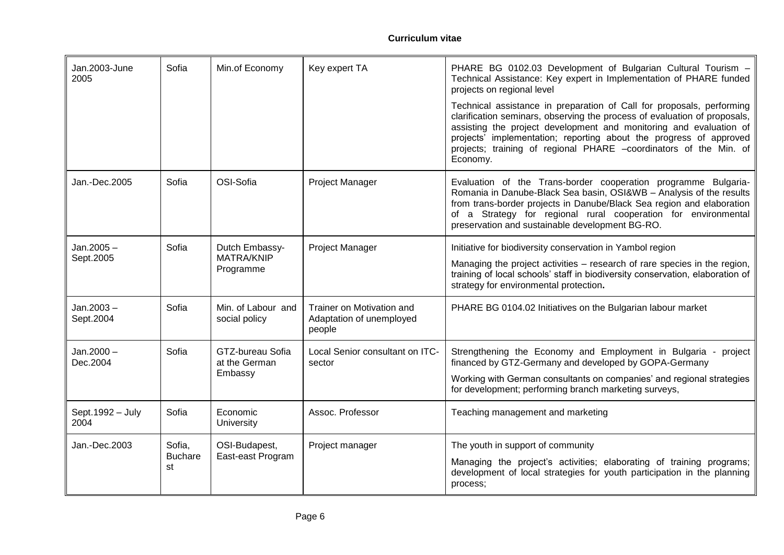| Jan.2003-June<br>2005     | Sofia                          | Min.of Economy                                   | Key expert TA                                                   | PHARE BG 0102.03 Development of Bulgarian Cultural Tourism -<br>Technical Assistance: Key expert in Implementation of PHARE funded<br>projects on regional level                                                                                                                                                                                                                |
|---------------------------|--------------------------------|--------------------------------------------------|-----------------------------------------------------------------|---------------------------------------------------------------------------------------------------------------------------------------------------------------------------------------------------------------------------------------------------------------------------------------------------------------------------------------------------------------------------------|
|                           |                                |                                                  |                                                                 | Technical assistance in preparation of Call for proposals, performing<br>clarification seminars, observing the process of evaluation of proposals,<br>assisting the project development and monitoring and evaluation of<br>projects' implementation; reporting about the progress of approved<br>projects; training of regional PHARE -coordinators of the Min. of<br>Economy. |
| Jan.-Dec.2005             | Sofia                          | OSI-Sofia                                        | Project Manager                                                 | Evaluation of the Trans-border cooperation programme Bulgaria-<br>Romania in Danube-Black Sea basin, OSI&WB - Analysis of the results<br>from trans-border projects in Danube/Black Sea region and elaboration<br>of a Strategy for regional rural cooperation for environmental<br>preservation and sustainable development BG-RO.                                             |
| $Jan.2005 -$<br>Sept.2005 | Sofia                          | Dutch Embassy-<br><b>MATRA/KNIP</b><br>Programme | <b>Project Manager</b>                                          | Initiative for biodiversity conservation in Yambol region<br>Managing the project activities – research of rare species in the region,<br>training of local schools' staff in biodiversity conservation, elaboration of<br>strategy for environmental protection.                                                                                                               |
| $Jan.2003 -$<br>Sept.2004 | Sofia                          | Min. of Labour and<br>social policy              | Trainer on Motivation and<br>Adaptation of unemployed<br>people | PHARE BG 0104.02 Initiatives on the Bulgarian labour market                                                                                                                                                                                                                                                                                                                     |
| $Jan.2000 -$<br>Dec.2004  | Sofia                          | GTZ-bureau Sofia<br>at the German<br>Embassy     | Local Senior consultant on ITC-<br>sector                       | Strengthening the Economy and Employment in Bulgaria - project<br>financed by GTZ-Germany and developed by GOPA-Germany<br>Working with German consultants on companies' and regional strategies<br>for development; performing branch marketing surveys,                                                                                                                       |
| Sept. 1992 - July<br>2004 | Sofia                          | Economic<br><b>University</b>                    | Assoc. Professor                                                | Teaching management and marketing                                                                                                                                                                                                                                                                                                                                               |
| Jan.-Dec.2003             | Sofia,<br><b>Buchare</b><br>st | OSI-Budapest,<br>East-east Program               | Project manager                                                 | The youth in support of community<br>Managing the project's activities; elaborating of training programs;<br>development of local strategies for youth participation in the planning<br>process;                                                                                                                                                                                |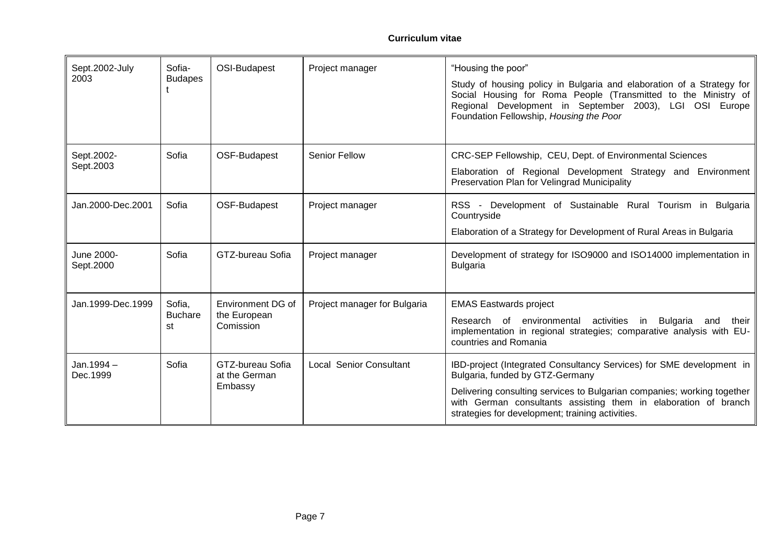| Sept.2002-July<br>2003  | Sofia-<br><b>Budapes</b>       | OSI-Budapest                                   | Project manager                | "Housing the poor"<br>Study of housing policy in Bulgaria and elaboration of a Strategy for<br>Social Housing for Roma People (Transmitted to the Ministry of<br>Regional Development in September 2003), LGI OSI Europe<br>Foundation Fellowship, Housing the Poor                                       |
|-------------------------|--------------------------------|------------------------------------------------|--------------------------------|-----------------------------------------------------------------------------------------------------------------------------------------------------------------------------------------------------------------------------------------------------------------------------------------------------------|
| Sept.2002-<br>Sept.2003 | Sofia                          | OSF-Budapest                                   | Senior Fellow                  | CRC-SEP Fellowship, CEU, Dept. of Environmental Sciences<br>Elaboration of Regional Development Strategy and Environment<br>Preservation Plan for Velingrad Municipality                                                                                                                                  |
| Jan.2000-Dec.2001       | Sofia                          | OSF-Budapest                                   | Project manager                | RSS - Development of Sustainable Rural Tourism in Bulgaria<br>Countryside<br>Elaboration of a Strategy for Development of Rural Areas in Bulgaria                                                                                                                                                         |
| June 2000-<br>Sept.2000 | Sofia                          | GTZ-bureau Sofia                               | Project manager                | Development of strategy for ISO9000 and ISO14000 implementation in<br><b>Bulgaria</b>                                                                                                                                                                                                                     |
| Jan. 1999-Dec. 1999     | Sofia,<br><b>Buchare</b><br>st | Environment DG of<br>the European<br>Comission | Project manager for Bulgaria   | <b>EMAS Eastwards project</b><br>Research of environmental<br>activities in Bulgaria<br>and<br>their<br>implementation in regional strategies; comparative analysis with EU-<br>countries and Romania                                                                                                     |
| Jan. 1994 -<br>Dec.1999 | Sofia                          | GTZ-bureau Sofia<br>at the German<br>Embassy   | <b>Local Senior Consultant</b> | IBD-project (Integrated Consultancy Services) for SME development in<br>Bulgaria, funded by GTZ-Germany<br>Delivering consulting services to Bulgarian companies; working together<br>with German consultants assisting them in elaboration of branch<br>strategies for development; training activities. |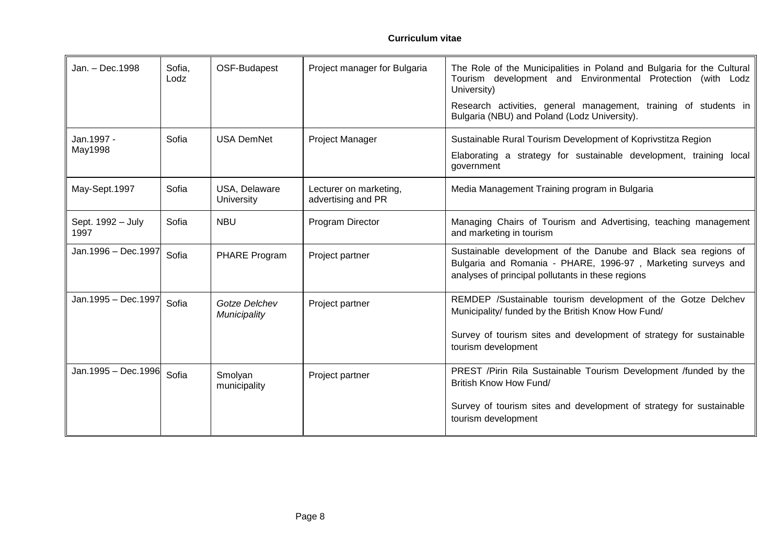| Jan. - Dec. 1998          | Sofia,<br>Lodz | OSF-Budapest                       | Project manager for Bulgaria                 | The Role of the Municipalities in Poland and Bulgaria for the Cultural<br>Tourism development and Environmental Protection (with Lodz<br>University)<br>Research activities, general management, training of students in<br>Bulgaria (NBU) and Poland (Lodz University). |
|---------------------------|----------------|------------------------------------|----------------------------------------------|--------------------------------------------------------------------------------------------------------------------------------------------------------------------------------------------------------------------------------------------------------------------------|
| Jan.1997 -<br>May1998     | Sofia          | <b>USA DemNet</b>                  | Project Manager                              | Sustainable Rural Tourism Development of Koprivstitza Region<br>Elaborating a strategy for sustainable development, training local<br>government                                                                                                                         |
| May-Sept.1997             | Sofia          | USA, Delaware<br><b>University</b> | Lecturer on marketing,<br>advertising and PR | Media Management Training program in Bulgaria                                                                                                                                                                                                                            |
| Sept. 1992 - July<br>1997 | Sofia          | <b>NBU</b>                         | Program Director                             | Managing Chairs of Tourism and Advertising, teaching management<br>and marketing in tourism                                                                                                                                                                              |
| Jan.1996 - Dec.1997       | Sofia          | PHARE Program                      | Project partner                              | Sustainable development of the Danube and Black sea regions of<br>Bulgaria and Romania - PHARE, 1996-97, Marketing surveys and<br>analyses of principal pollutants in these regions                                                                                      |
| Jan.1995 - Dec.1997       | Sofia          | Gotze Delchev<br>Municipality      | Project partner                              | REMDEP /Sustainable tourism development of the Gotze Delchev<br>Municipality/ funded by the British Know How Fund/<br>Survey of tourism sites and development of strategy for sustainable<br>tourism development                                                         |
| Jan.1995 - Dec.1996       | Sofia          | Smolyan<br>municipality            | Project partner                              | PREST /Pirin Rila Sustainable Tourism Development /funded by the<br>British Know How Fund/<br>Survey of tourism sites and development of strategy for sustainable<br>tourism development                                                                                 |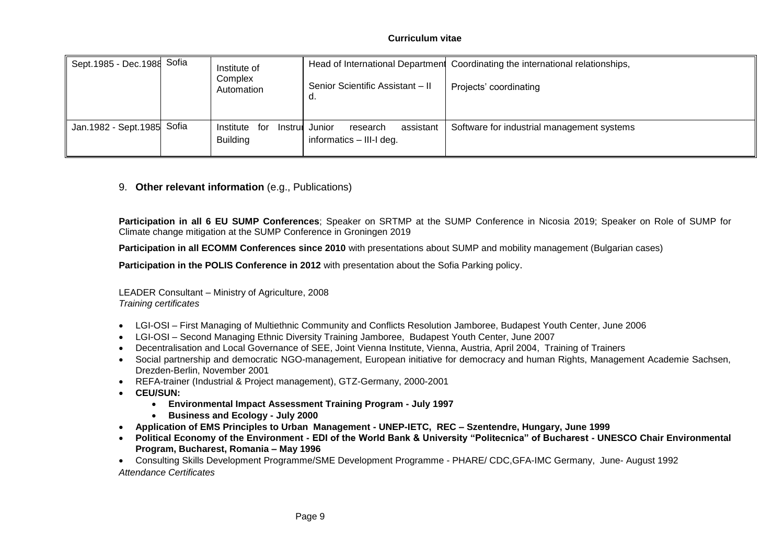#### **Curriculum vitae**

| Sept.1985 - Dec.1988 Sofia |       | Institute of<br>Complex<br>Automation | Senior Scientific Assistant - II<br>a.                              | Head of International Department Coordinating the international relationships,<br>Projects' coordinating |
|----------------------------|-------|---------------------------------------|---------------------------------------------------------------------|----------------------------------------------------------------------------------------------------------|
| Jan. 1982 - Sept. 1985     | Sofia | for<br>Institute<br><b>Building</b>   | Instrur Junior<br>assistant<br>research<br>informatics - III-I deg. | Software for industrial management systems                                                               |

### 9. **Other relevant information** (e.g., Publications)

**Participation in all 6 EU SUMP Conferences**; Speaker on SRTMP at the SUMP Conference in Nicosia 2019; Speaker on Role of SUMP for Climate change mitigation at the SUMP Conference in Groningen 2019

**Participation in all ECOMM Conferences since 2010** with presentations about SUMP and mobility management (Bulgarian cases)

**Participation in the POLIS Conference in 2012** with presentation about the Sofia Parking policy.

LEADER Consultant – Ministry of Agriculture, 2008 *Training certificates*

- LGI-OSI First Managing of Multiethnic Community and Conflicts Resolution Jamboree, Budapest Youth Center, June 2006
- LGI-OSI Second Managing Ethnic Diversity Training Jamboree, Budapest Youth Center, June 2007
- Decentralisation and Local Governance of SEE, Joint Vienna Institute, Vienna, Austria, April 2004, Training of Trainers
- Social partnership and democratic NGO-management, European initiative for democracy and human Rights, Management Academie Sachsen, Drezden-Berlin, November 2001
- REFA-trainer (Industrial & Project management), GTZ-Germany, 2000-2001
- **CEU/SUN:**
	- **Environmental Impact Assessment Training Program - July 1997**
	- **Business and Ecology - July 2000**
- **Application of EMS Principles to Urban Management - UNEP-IETC, REC – Szentendre, Hungary, June 1999**
- **Political Economy of the Environment - EDI of the World Bank & University "Politecnica" of Bucharest - UNESCO Chair Environmental Program, Bucharest, Romania – May 1996**

 Consulting Skills Development Programme/SME Development Programme - PHARE/ CDC,GFA-IMC Germany, June- August 1992 *Attendance Certificates*